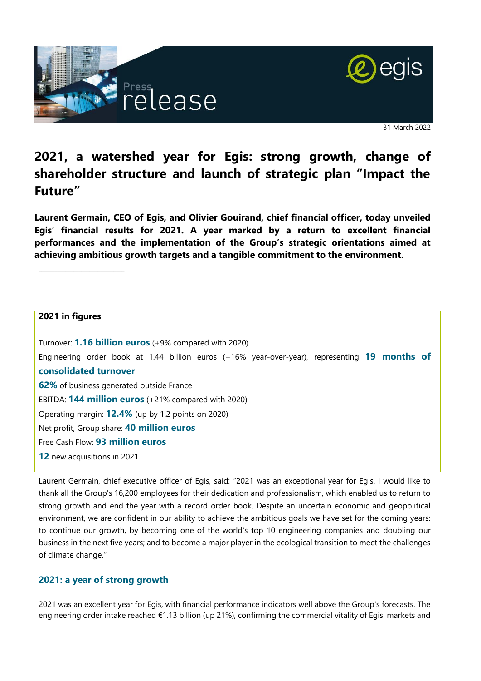



31 March 2022

# **2021, a watershed year for Egis: strong growth, change of shareholder structure and launch of strategic plan "Impact the Future"**

**Laurent Germain, CEO of Egis, and Olivier Gouirand, chief financial officer, today unveiled Egis' financial results for 2021. A year marked by a return to excellent financial performances and the implementation of the Group's strategic orientations aimed at achieving ambitious growth targets and a tangible commitment to the environment.** 

#### **2021 in figures**

 $\_$ 

Turnover: **1.16 billion euros** (+9% compared with 2020) Engineering order book at 1.44 billion euros (+16% year-over-year), representing **19 months of consolidated turnover 62%** of business generated outside France EBITDA: **144 million euros** (+21% compared with 2020) Operating margin: **12.4%** (up by 1.2 points on 2020) Net profit, Group share: **40 million euros** Free Cash Flow: **93 million euros 12** new acquisitions in 2021

Laurent Germain, chief executive officer of Egis, said: "2021 was an exceptional year for Egis. I would like to thank all the Group's 16,200 employees for their dedication and professionalism, which enabled us to return to strong growth and end the year with a record order book. Despite an uncertain economic and geopolitical environment, we are confident in our ability to achieve the ambitious goals we have set for the coming years: to continue our growth, by becoming one of the world's top 10 engineering companies and doubling our business in the next five years; and to become a major player in the ecological transition to meet the challenges of climate change."

### **2021: a year of strong growth**

2021 was an excellent year for Egis, with financial performance indicators well above the Group's forecasts. The engineering order intake reached €1.13 billion (up 21%), confirming the commercial vitality of Egis' markets and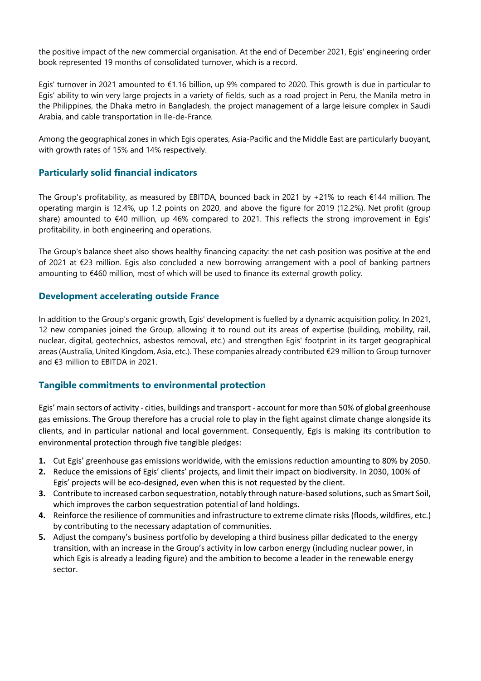the positive impact of the new commercial organisation. At the end of December 2021, Egis' engineering order book represented 19 months of consolidated turnover, which is a record.

Egis' turnover in 2021 amounted to €1.16 billion, up 9% compared to 2020. This growth is due in particular to Egis' ability to win very large projects in a variety of fields, such as a road project in Peru, the Manila metro in the Philippines, the Dhaka metro in Bangladesh, the project management of a large leisure complex in Saudi Arabia, and cable transportation in Ile-de-France.

Among the geographical zones in which Egis operates, Asia-Pacific and the Middle East are particularly buoyant, with growth rates of 15% and 14% respectively.

### **Particularly solid financial indicators**

The Group's profitability, as measured by EBITDA, bounced back in 2021 by +21% to reach  $\epsilon$ 144 million. The operating margin is 12.4%, up 1.2 points on 2020, and above the figure for 2019 (12.2%). Net profit (group share) amounted to €40 million, up 46% compared to 2021. This reflects the strong improvement in Egis' profitability, in both engineering and operations.

The Group's balance sheet also shows healthy financing capacity: the net cash position was positive at the end of 2021 at €23 million. Egis also concluded a new borrowing arrangement with a pool of banking partners amounting to €460 million, most of which will be used to finance its external growth policy.

# **Development accelerating outside France**

In addition to the Group's organic growth, Egis' development is fuelled by a dynamic acquisition policy. In 2021, 12 new companies joined the Group, allowing it to round out its areas of expertise (building, mobility, rail, nuclear, digital, geotechnics, asbestos removal, etc.) and strengthen Egis' footprint in its target geographical areas (Australia, United Kingdom, Asia, etc.). These companies already contributed €29 million to Group turnover and €3 million to EBITDA in 2021.

### **Tangible commitments to environmental protection**

Egis' main sectors of activity - cities, buildings and transport - account for more than 50% of global greenhouse gas emissions. The Group therefore has a crucial role to play in the fight against climate change alongside its clients, and in particular national and local government. Consequently, Egis is making its contribution to environmental protection through five tangible pledges:

- **1.** Cut Egis' greenhouse gas emissions worldwide, with the emissions reduction amounting to 80% by 2050.
- **2.** Reduce the emissions of Egis' clients' projects, and limit their impact on biodiversity. In 2030, 100% of Egis' projects will be eco-designed, even when this is not requested by the client.
- **3.** Contribute to increased carbon sequestration, notably through nature-based solutions, such as Smart Soil, which improves the carbon sequestration potential of land holdings.
- **4.** Reinforce the resilience of communities and infrastructure to extreme climate risks (floods, wildfires, etc.) by contributing to the necessary adaptation of communities.
- **5.** Adjust the company's business portfolio by developing a third business pillar dedicated to the energy transition, with an increase in the Group's activity in low carbon energy (including nuclear power, in which Egis is already a leading figure) and the ambition to become a leader in the renewable energy sector.